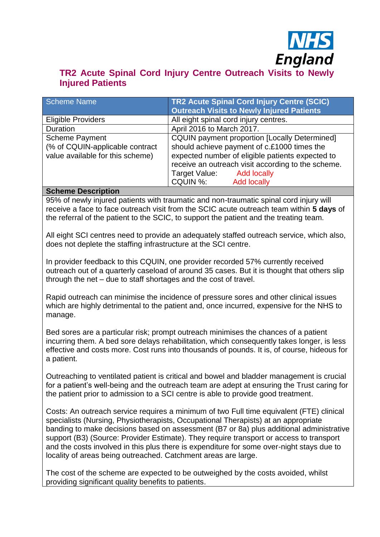

# **TR2 Acute Spinal Cord Injury Centre Outreach Visits to Newly Injured Patients**

| Scheme Name                                                                                  | <b>TR2 Acute Spinal Cord Injury Centre (SCIC)</b><br><b>Outreach Visits to Newly Injured Patients</b>                                                                                                                                                                        |
|----------------------------------------------------------------------------------------------|------------------------------------------------------------------------------------------------------------------------------------------------------------------------------------------------------------------------------------------------------------------------------|
| <b>Eligible Providers</b>                                                                    | All eight spinal cord injury centres.                                                                                                                                                                                                                                        |
| Duration                                                                                     | April 2016 to March 2017.                                                                                                                                                                                                                                                    |
| <b>Scheme Payment</b><br>(% of CQUIN-applicable contract<br>value available for this scheme) | <b>CQUIN payment proportion [Locally Determined]</b><br>should achieve payment of c.£1000 times the<br>expected number of eligible patients expected to<br>receive an outreach visit according to the scheme.<br>Target Value: Add locally<br><b>Add locally</b><br>CQUIN %: |

#### **Scheme Description**

95% of newly injured patients with traumatic and non-traumatic spinal cord injury will receive a face to face outreach visit from the SCIC acute outreach team within **5 days** of the referral of the patient to the SCIC, to support the patient and the treating team.

All eight SCI centres need to provide an adequately staffed outreach service, which also, does not deplete the staffing infrastructure at the SCI centre.

In provider feedback to this CQUIN, one provider recorded 57% currently received outreach out of a quarterly caseload of around 35 cases. But it is thought that others slip through the net – due to staff shortages and the cost of travel.

Rapid outreach can minimise the incidence of pressure sores and other clinical issues which are highly detrimental to the patient and, once incurred, expensive for the NHS to manage.

Bed sores are a particular risk; prompt outreach minimises the chances of a patient incurring them. A bed sore delays rehabilitation, which consequently takes longer, is less effective and costs more. Cost runs into thousands of pounds. It is, of course, hideous for a patient.

Outreaching to ventilated patient is critical and bowel and bladder management is crucial for a patient's well-being and the outreach team are adept at ensuring the Trust caring for the patient prior to admission to a SCI centre is able to provide good treatment.

Costs: An outreach service requires a minimum of two Full time equivalent (FTE) clinical specialists (Nursing, Physiotherapists, Occupational Therapists) at an appropriate banding to make decisions based on assessment (B7 or 8a) plus additional administrative support (B3) (Source: Provider Estimate). They require transport or access to transport and the costs involved in this plus there is expenditure for some over-night stays due to locality of areas being outreached. Catchment areas are large.

The cost of the scheme are expected to be outweighed by the costs avoided, whilst providing significant quality benefits to patients.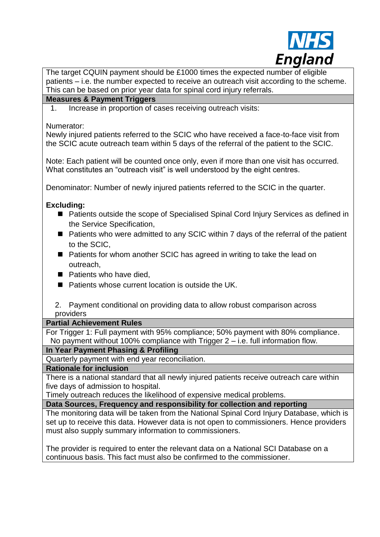

The target CQUIN payment should be £1000 times the expected number of eligible patients – i.e. the number expected to receive an outreach visit according to the scheme. This can be based on prior year data for spinal cord injury referrals.

## **Measures & Payment Triggers**

1. Increase in proportion of cases receiving outreach visits:

Numerator:

Newly injured patients referred to the SCIC who have received a face-to-face visit from the SCIC acute outreach team within 5 days of the referral of the patient to the SCIC.

Note: Each patient will be counted once only, even if more than one visit has occurred. What constitutes an "outreach visit" is well understood by the eight centres.

Denominator: Number of newly injured patients referred to the SCIC in the quarter.

### **Excluding:**

- Patients outside the scope of Specialised Spinal Cord Injury Services as defined in the Service Specification,
- Patients who were admitted to any SCIC within 7 days of the referral of the patient to the SCIC,
- Patients for whom another SCIC has agreed in writing to take the lead on outreach,
- $\blacksquare$  Patients who have died,
- Patients whose current location is outside the UK.
- 2. Payment conditional on providing data to allow robust comparison across providers

#### **Partial Achievement Rules**

For Trigger 1: Full payment with 95% compliance; 50% payment with 80% compliance. No payment without 100% compliance with Trigger 2 – i.e. full information flow.

#### **In Year Payment Phasing & Profiling**

Quarterly payment with end year reconciliation.

#### **Rationale for inclusion**

There is a national standard that all newly injured patients receive outreach care within five days of admission to hospital.

Timely outreach reduces the likelihood of expensive medical problems.

#### **Data Sources, Frequency and responsibility for collection and reporting**

The monitoring data will be taken from the National Spinal Cord Injury Database, which is set up to receive this data. However data is not open to commissioners. Hence providers must also supply summary information to commissioners.

The provider is required to enter the relevant data on a National SCI Database on a continuous basis. This fact must also be confirmed to the commissioner.